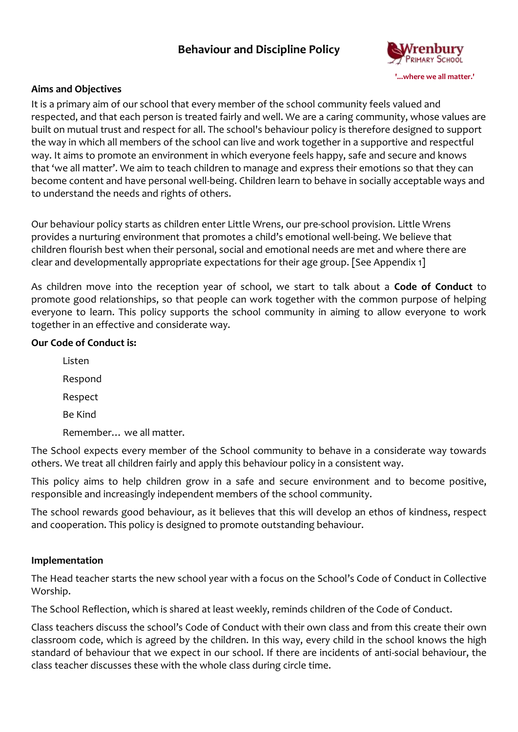# **Behaviour and Discipline Policy**



#### **Aims and Objectives**

It is a primary aim of our school that every member of the school community feels valued and respected, and that each person is treated fairly and well. We are a caring community, whose values are built on mutual trust and respect for all. The school's behaviour policy is therefore designed to support the way in which all members of the school can live and work together in a supportive and respectful way. It aims to promote an environment in which everyone feels happy, safe and secure and knows that 'we all matter'. We aim to teach children to manage and express their emotions so that they can become content and have personal well-being. Children learn to behave in socially acceptable ways and to understand the needs and rights of others.

Our behaviour policy starts as children enter Little Wrens, our pre-school provision. Little Wrens provides a nurturing environment that promotes a child's emotional well-being. We believe that children flourish best when their personal, social and emotional needs are met and where there are clear and developmentally appropriate expectations for their age group. [See Appendix 1]

As children move into the reception year of school, we start to talk about a **Code of Conduct** to promote good relationships, so that people can work together with the common purpose of helping everyone to learn. This policy supports the school community in aiming to allow everyone to work together in an effective and considerate way.

#### **Our Code of Conduct is:**

Listen Respond Respect Be Kind Remember… we all matter.

The School expects every member of the School community to behave in a considerate way towards others. We treat all children fairly and apply this behaviour policy in a consistent way.

This policy aims to help children grow in a safe and secure environment and to become positive, responsible and increasingly independent members of the school community.

The school rewards good behaviour, as it believes that this will develop an ethos of kindness, respect and cooperation. This policy is designed to promote outstanding behaviour.

# **Implementation**

The Head teacher starts the new school year with a focus on the School's Code of Conduct in Collective Worship.

The School Reflection, which is shared at least weekly, reminds children of the Code of Conduct.

Class teachers discuss the school's Code of Conduct with their own class and from this create their own classroom code, which is agreed by the children. In this way, every child in the school knows the high standard of behaviour that we expect in our school. If there are incidents of anti-social behaviour, the class teacher discusses these with the whole class during circle time.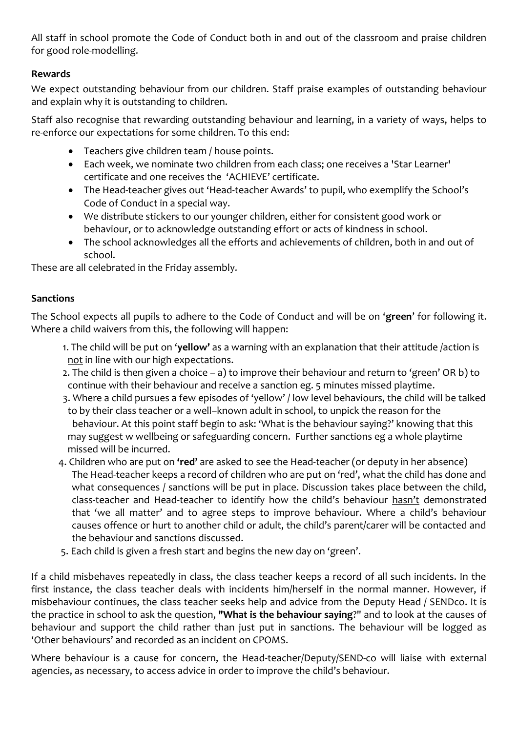All staff in school promote the Code of Conduct both in and out of the classroom and praise children for good role-modelling.

# **Rewards**

We expect outstanding behaviour from our children. Staff praise examples of outstanding behaviour and explain why it is outstanding to children.

Staff also recognise that rewarding outstanding behaviour and learning, in a variety of ways, helps to re-enforce our expectations for some children. To this end:

- Teachers give children team / house points.
- Each week, we nominate two children from each class; one receives a 'Star Learner' certificate and one receives the 'ACHIEVE' certificate.
- The Head-teacher gives out 'Head-teacher Awards' to pupil, who exemplify the School's Code of Conduct in a special way.
- We distribute stickers to our younger children, either for consistent good work or behaviour, or to acknowledge outstanding effort or acts of kindness in school.
- The school acknowledges all the efforts and achievements of children, both in and out of school.

These are all celebrated in the Friday assembly.

# **Sanctions**

The School expects all pupils to adhere to the Code of Conduct and will be on '**green**' for following it. Where a child waivers from this, the following will happen:

- 1. The child will be put on '**yellow'** as a warning with an explanation that their attitude /action is not in line with our high expectations.
- 2. The child is then given a choice a) to improve their behaviour and return to 'green' OR b) to continue with their behaviour and receive a sanction eg. 5 minutes missed playtime.
- 3. Where a child pursues a few episodes of 'yellow' / low level behaviours, the child will be talked to by their class teacher or a well–known adult in school, to unpick the reason for the behaviour. At this point staff begin to ask: 'What is the behaviour saying?' knowing that this may suggest w wellbeing or safeguarding concern. Further sanctions eg a whole playtime missed will be incurred.
- 4. Children who are put on **'red'** are asked to see the Head-teacher (or deputy in her absence) The Head-teacher keeps a record of children who are put on 'red', what the child has done and what consequences / sanctions will be put in place. Discussion takes place between the child, class-teacher and Head-teacher to identify how the child's behaviour hasn't demonstrated that 'we all matter' and to agree steps to improve behaviour. Where a child's behaviour causes offence or hurt to another child or adult, the child's parent/carer will be contacted and the behaviour and sanctions discussed.
- 5. Each child is given a fresh start and begins the new day on 'green'.

If a child misbehaves repeatedly in class, the class teacher keeps a record of all such incidents. In the first instance, the class teacher deals with incidents him/herself in the normal manner. However, if misbehaviour continues, the class teacher seeks help and advice from the Deputy Head / SENDco. It is the practice in school to ask the question, **"What is the behaviour saying**?" and to look at the causes of behaviour and support the child rather than just put in sanctions. The behaviour will be logged as 'Other behaviours' and recorded as an incident on CPOMS.

Where behaviour is a cause for concern, the Head-teacher/Deputy/SEND-co will liaise with external agencies, as necessary, to access advice in order to improve the child's behaviour.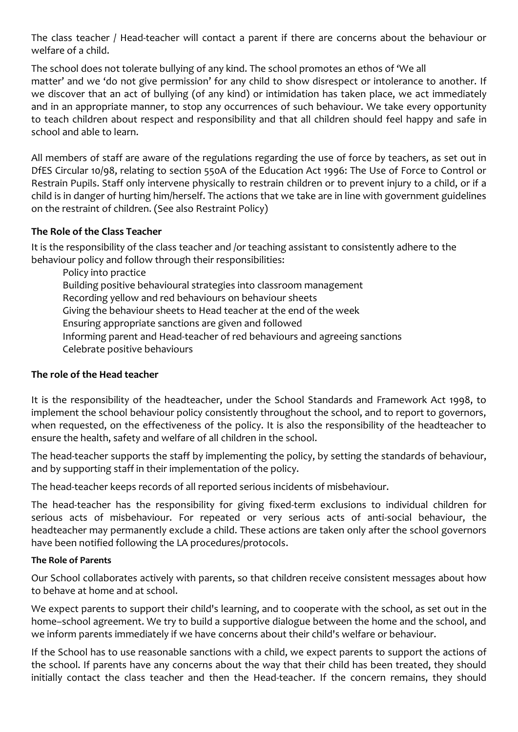The class teacher / Head-teacher will contact a parent if there are concerns about the behaviour or welfare of a child.

The school does not tolerate bullying of any kind. The school promotes an ethos of 'We all matter' and we 'do not give permission' for any child to show disrespect or intolerance to another. If we discover that an act of bullying (of any kind) or intimidation has taken place, we act immediately and in an appropriate manner, to stop any occurrences of such behaviour. We take every opportunity to teach children about respect and responsibility and that all children should feel happy and safe in school and able to learn.

All members of staff are aware of the regulations regarding the use of force by teachers, as set out in DfES Circular 10/98, relating to section 550A of the Education Act 1996: The Use of Force to Control or Restrain Pupils. Staff only intervene physically to restrain children or to prevent injury to a child, or if a child is in danger of hurting him/herself. The actions that we take are in line with government guidelines on the restraint of children. (See also Restraint Policy)

# **The Role of the Class Teacher**

It is the responsibility of the class teacher and /or teaching assistant to consistently adhere to the behaviour policy and follow through their responsibilities:

Policy into practice Building positive behavioural strategies into classroom management Recording yellow and red behaviours on behaviour sheets Giving the behaviour sheets to Head teacher at the end of the week Ensuring appropriate sanctions are given and followed Informing parent and Head-teacher of red behaviours and agreeing sanctions Celebrate positive behaviours

#### **The role of the Head teacher**

It is the responsibility of the headteacher, under the School Standards and Framework Act 1998, to implement the school behaviour policy consistently throughout the school, and to report to governors, when requested, on the effectiveness of the policy. It is also the responsibility of the headteacher to ensure the health, safety and welfare of all children in the school.

The head-teacher supports the staff by implementing the policy, by setting the standards of behaviour, and by supporting staff in their implementation of the policy.

The head-teacher keeps records of all reported serious incidents of misbehaviour.

The head-teacher has the responsibility for giving fixed-term exclusions to individual children for serious acts of misbehaviour. For repeated or very serious acts of anti-social behaviour, the headteacher may permanently exclude a child. These actions are taken only after the school governors have been notified following the LA procedures/protocols.

#### **The Role of Parents**

Our School collaborates actively with parents, so that children receive consistent messages about how to behave at home and at school.

We expect parents to support their child's learning, and to cooperate with the school, as set out in the home–school agreement. We try to build a supportive dialogue between the home and the school, and we inform parents immediately if we have concerns about their child's welfare or behaviour.

If the School has to use reasonable sanctions with a child, we expect parents to support the actions of the school. If parents have any concerns about the way that their child has been treated, they should initially contact the class teacher and then the Head-teacher. If the concern remains, they should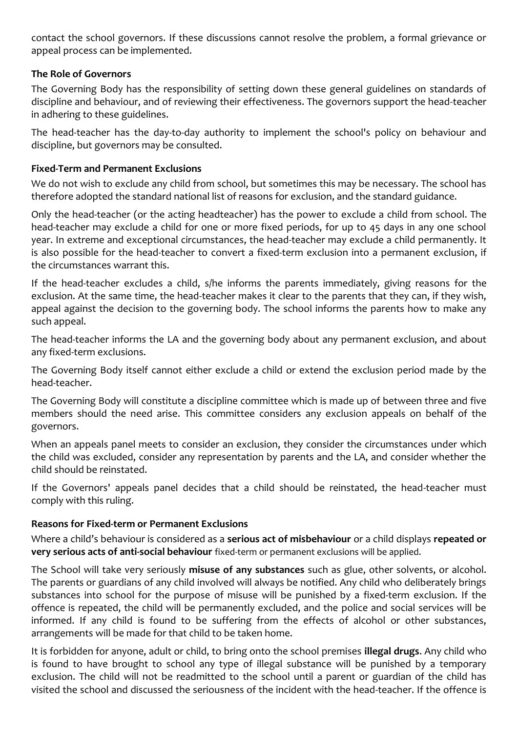contact the school governors. If these discussions cannot resolve the problem, a formal grievance or appeal process can be implemented.

### **The Role of Governors**

The Governing Body has the responsibility of setting down these general guidelines on standards of discipline and behaviour, and of reviewing their effectiveness. The governors support the head-teacher in adhering to these guidelines.

The head-teacher has the day-to-day authority to implement the school's policy on behaviour and discipline, but governors may be consulted.

### **Fixed-Term and Permanent Exclusions**

We do not wish to exclude any child from school, but sometimes this may be necessary. The school has therefore adopted the standard national list of reasons for exclusion, and the standard guidance.

Only the head-teacher (or the acting headteacher) has the power to exclude a child from school. The head-teacher may exclude a child for one or more fixed periods, for up to 45 days in any one school year. In extreme and exceptional circumstances, the head-teacher may exclude a child permanently. It is also possible for the head-teacher to convert a fixed-term exclusion into a permanent exclusion, if the circumstances warrant this.

If the head-teacher excludes a child, s/he informs the parents immediately, giving reasons for the exclusion. At the same time, the head-teacher makes it clear to the parents that they can, if they wish, appeal against the decision to the governing body. The school informs the parents how to make any such appeal.

The head-teacher informs the LA and the governing body about any permanent exclusion, and about any fixed-term exclusions.

The Governing Body itself cannot either exclude a child or extend the exclusion period made by the head-teacher.

The Governing Body will constitute a discipline committee which is made up of between three and five members should the need arise. This committee considers any exclusion appeals on behalf of the governors.

When an appeals panel meets to consider an exclusion, they consider the circumstances under which the child was excluded, consider any representation by parents and the LA, and consider whether the child should be reinstated.

If the Governors' appeals panel decides that a child should be reinstated, the head-teacher must comply with this ruling.

# **Reasons for Fixed-term or Permanent Exclusions**

Where a child's behaviour is considered as a **serious act of misbehaviour** or a child displays **repeated or very serious acts of anti-social behaviour** fixed-term or permanent exclusions will be applied.

The School will take very seriously **misuse of any substances** such as glue, other solvents, or alcohol. The parents or guardians of any child involved will always be notified. Any child who deliberately brings substances into school for the purpose of misuse will be punished by a fixed-term exclusion. If the offence is repeated, the child will be permanently excluded, and the police and social services will be informed. If any child is found to be suffering from the effects of alcohol or other substances, arrangements will be made for that child to be taken home.

It is forbidden for anyone, adult or child, to bring onto the school premises **illegal drugs**. Any child who is found to have brought to school any type of illegal substance will be punished by a temporary exclusion. The child will not be readmitted to the school until a parent or guardian of the child has visited the school and discussed the seriousness of the incident with the head-teacher. If the offence is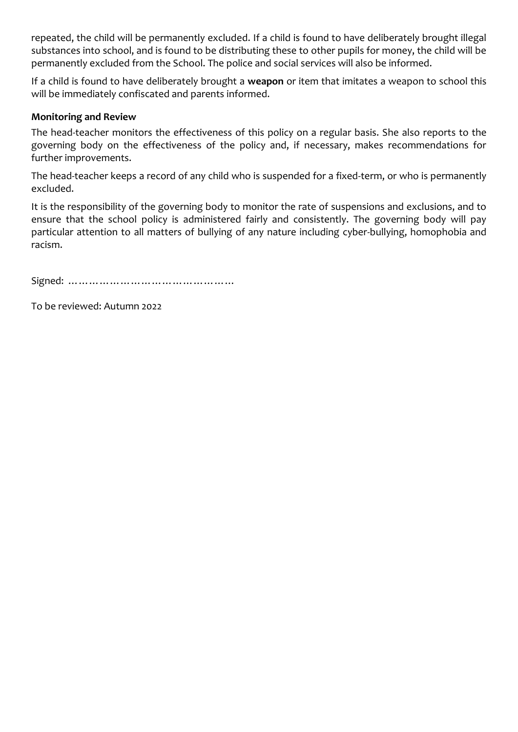repeated, the child will be permanently excluded. If a child is found to have deliberately brought illegal substances into school, and is found to be distributing these to other pupils for money, the child will be permanently excluded from the School. The police and social services will also be informed.

If a child is found to have deliberately brought a **weapon** or item that imitates a weapon to school this will be immediately confiscated and parents informed.

#### **Monitoring and Review**

The head-teacher monitors the effectiveness of this policy on a regular basis. She also reports to the governing body on the effectiveness of the policy and, if necessary, makes recommendations for further improvements.

The head-teacher keeps a record of any child who is suspended for a fixed-term, or who is permanently excluded.

It is the responsibility of the governing body to monitor the rate of suspensions and exclusions, and to ensure that the school policy is administered fairly and consistently. The governing body will pay particular attention to all matters of bullying of any nature including cyber-bullying, homophobia and racism.

Signed: …………………………………………

To be reviewed: Autumn 2022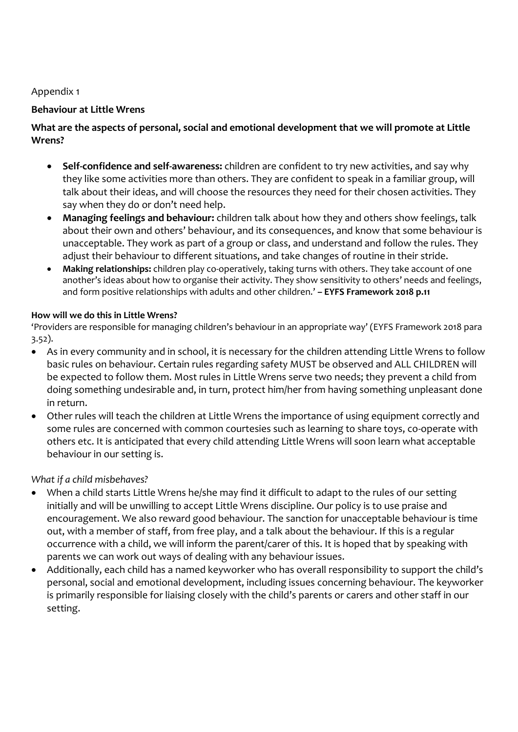Appendix 1

#### **Behaviour at Little Wrens**

### **What are the aspects of personal, social and emotional development that we will promote at Little Wrens?**

- **Self-confidence and self-awareness:** children are confident to try new activities, and say why they like some activities more than others. They are confident to speak in a familiar group, will talk about their ideas, and will choose the resources they need for their chosen activities. They say when they do or don't need help.
- **Managing feelings and behaviour:** children talk about how they and others show feelings, talk about their own and others' behaviour, and its consequences, and know that some behaviour is unacceptable. They work as part of a group or class, and understand and follow the rules. They adjust their behaviour to different situations, and take changes of routine in their stride.
- **Making relationships:** children play co-operatively, taking turns with others. They take account of one another's ideas about how to organise their activity. They show sensitivity to others' needs and feelings, and form positive relationships with adults and other children.' **– EYFS Framework 2018 p.11**

#### **How will we do this in Little Wrens?**

'Providers are responsible for managing children's behaviour in an appropriate way' (EYFS Framework 2018 para 3.52).

- As in every community and in school, it is necessary for the children attending Little Wrens to follow basic rules on behaviour. Certain rules regarding safety MUST be observed and ALL CHILDREN will be expected to follow them. Most rules in Little Wrens serve two needs; they prevent a child from doing something undesirable and, in turn, protect him/her from having something unpleasant done in return.
- Other rules will teach the children at Little Wrens the importance of using equipment correctly and some rules are concerned with common courtesies such as learning to share toys, co-operate with others etc. It is anticipated that every child attending Little Wrens will soon learn what acceptable behaviour in our setting is.

# *What if a child misbehaves?*

- When a child starts Little Wrens he/she may find it difficult to adapt to the rules of our setting initially and will be unwilling to accept Little Wrens discipline. Our policy is to use praise and encouragement. We also reward good behaviour. The sanction for unacceptable behaviour is time out, with a member of staff, from free play, and a talk about the behaviour. If this is a regular occurrence with a child, we will inform the parent/carer of this. It is hoped that by speaking with parents we can work out ways of dealing with any behaviour issues.
- Additionally, each child has a named keyworker who has overall responsibility to support the child's personal, social and emotional development, including issues concerning behaviour. The keyworker is primarily responsible for liaising closely with the child's parents or carers and other staff in our setting.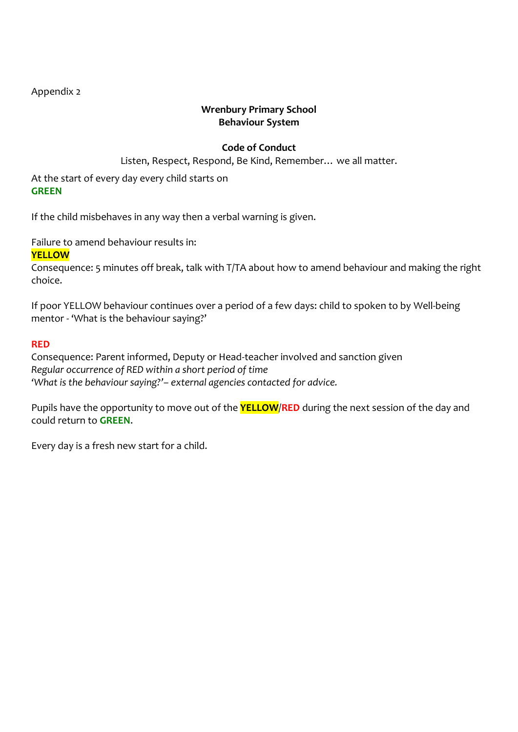Appendix 2

# **Wrenbury Primary School Behaviour System**

# **Code of Conduct**

Listen, Respect, Respond, Be Kind, Remember… we all matter.

At the start of every day every child starts on **GREEN**

If the child misbehaves in any way then a verbal warning is given.

Failure to amend behaviour results in:

### **YELLOW**

Consequence: 5 minutes off break, talk with T/TA about how to amend behaviour and making the right choice.

If poor YELLOW behaviour continues over a period of a few days: child to spoken to by Well-being mentor - 'What is the behaviour saying?'

#### **RED**

Consequence: Parent informed, Deputy or Head-teacher involved and sanction given *Regular occurrence of RED within a short period of time 'What is the behaviour saying?'– external agencies contacted for advice.*

Pupils have the opportunity to move out of the **YELLOW**/**RED** during the next session of the day and could return to **GREEN**.

Every day is a fresh new start for a child.